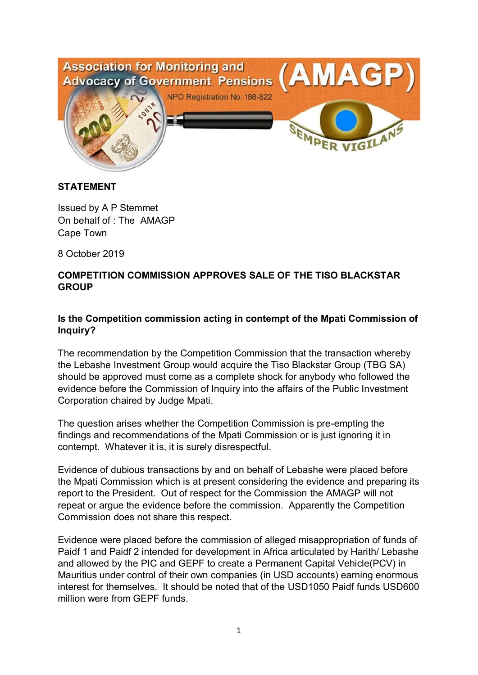

## **STATEMENT**

Issued by A P Stemmet On behalf of : The AMAGP Cape Town

8 October 2019

## **COMPETITION COMMISSION APPROVES SALE OF THE TISO BLACKSTAR GROUP**

## **Is the Competition commission acting in contempt of the Mpati Commission of Inquiry?**

The recommendation by the Competition Commission that the transaction whereby the Lebashe Investment Group would acquire the Tiso Blackstar Group (TBG SA) should be approved must come as a complete shock for anybody who followed the evidence before the Commission of Inquiry into the affairs of the Public Investment Corporation chaired by Judge Mpati.

The question arises whether the Competition Commission is pre-empting the findings and recommendations of the Mpati Commission or is just ignoring it in contempt. Whatever it is, it is surely disrespectful.

Evidence of dubious transactions by and on behalf of Lebashe were placed before the Mpati Commission which is at present considering the evidence and preparing its report to the President. Out of respect for the Commission the AMAGP will not repeat or argue the evidence before the commission. Apparently the Competition Commission does not share this respect.

Evidence were placed before the commission of alleged misappropriation of funds of Paidf 1 and Paidf 2 intended for development in Africa articulated by Harith/ Lebashe and allowed by the PIC and GEPF to create a Permanent Capital Vehicle(PCV) in Mauritius under control of their own companies (in USD accounts) earning enormous interest for themselves. It should be noted that of the USD1050 Paidf funds USD600 million were from GEPF funds.